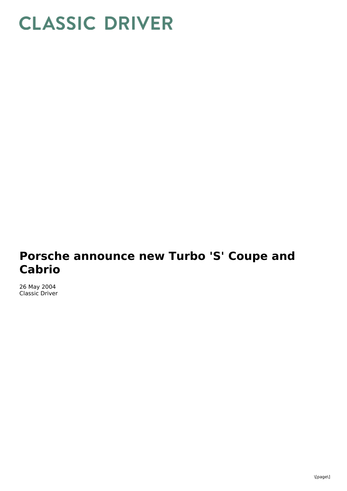## **CLASSIC DRIVER**

## **Porsche announce new Turbo 'S' Coupe and Cabrio**

26 May 2004 Classic Driver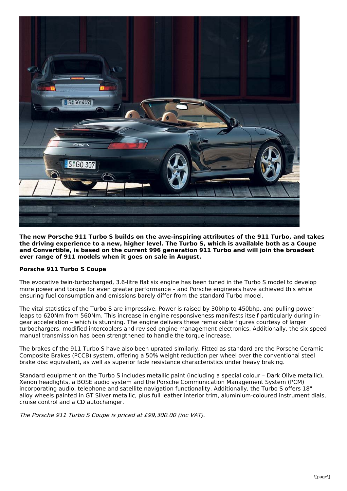

**The new Porsche 911 Turbo S builds on the awe-inspiring attributes of the 911 Turbo, and takes the driving experience to a new, higher level. The Turbo S, which is available both as a Coupe and Convertible, is based on the current 996 generation 911 Turbo and will join the broadest ever range of 911 models when it goes on sale in August.**

## **Porsche 911 Turbo S Coupe**

The evocative twin-turbocharged, 3.6-litre flat six engine has been tuned in the Turbo S model to develop more power and torque for even greater performance – and Porsche engineers have achieved this while ensuring fuel consumption and emissions barely differ from the standard Turbo model.

The vital statistics of the Turbo S are impressive. Power is raised by 30bhp to 450bhp, and pulling power leaps to 620Nm from 560Nm. This increase in engine responsiveness manifests itself particularly during ingear acceleration – which is stunning. The engine delivers these remarkable figures courtesy of larger turbochargers, modified intercoolers and revised engine management electronics. Additionally, the six speed manual transmission has been strengthened to handle the torque increase.

The brakes of the 911 Turbo S have also been uprated similarly. Fitted as standard are the Porsche Ceramic Composite Brakes (PCCB) system, offering a 50% weight reduction per wheel over the conventional steel brake disc equivalent, as well as superior fade resistance characteristics under heavy braking.

Standard equipment on the Turbo S includes metallic paint (including a special colour – Dark Olive metallic), Xenon headlights, a BOSE audio system and the Porsche Communication Management System (PCM) incorporating audio, telephone and satellite navigation functionality. Additionally, the Turbo S offers 18" alloy wheels painted in GT Silver metallic, plus full leather interior trim, aluminium-coloured instrument dials, cruise control and a CD autochanger.

The Porsche 911 Turbo S Coupe is priced at £99,300.00 (inc VAT).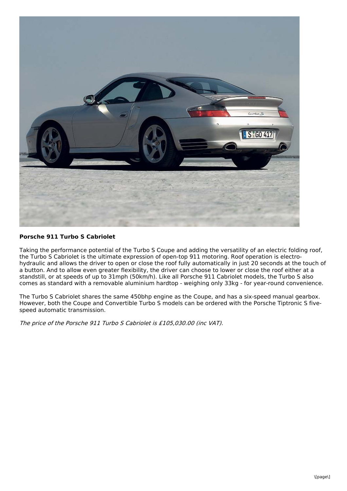

## **Porsche 911 Turbo S Cabriolet**

Taking the performance potential of the Turbo S Coupe and adding the versatility of an electric folding roof, the Turbo S Cabriolet is the ultimate expression of open-top 911 motoring. Roof operation is electrohydraulic and allows the driver to open or close the roof fully automatically in just 20 seconds at the touch of a button. And to allow even greater flexibility, the driver can choose to lower or close the roof either at a standstill, or at speeds of up to 31mph (50km/h). Like all Porsche 911 Cabriolet models, the Turbo S also comes as standard with a removable aluminium hardtop - weighing only 33kg - for year-round convenience.

The Turbo S Cabriolet shares the same 450bhp engine as the Coupe, and has a six-speed manual gearbox. However, both the Coupe and Convertible Turbo S models can be ordered with the Porsche Tiptronic S fivespeed automatic transmission.

The price of the Porsche 911 Turbo S Cabriolet is £105,030.00 (inc VAT).